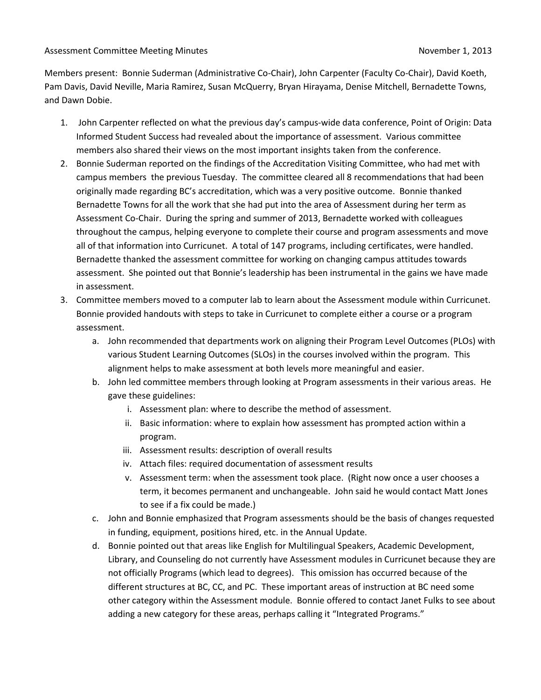Members present: Bonnie Suderman (Administrative Co-Chair), John Carpenter (Faculty Co-Chair), David Koeth, Pam Davis, David Neville, Maria Ramirez, Susan McQuerry, Bryan Hirayama, Denise Mitchell, Bernadette Towns, and Dawn Dobie.

- 1. John Carpenter reflected on what the previous day's campus-wide data conference, Point of Origin: Data Informed Student Success had revealed about the importance of assessment. Various committee members also shared their views on the most important insights taken from the conference.
- 2. Bonnie Suderman reported on the findings of the Accreditation Visiting Committee, who had met with campus members the previous Tuesday. The committee cleared all 8 recommendations that had been originally made regarding BC's accreditation, which was a very positive outcome. Bonnie thanked Bernadette Towns for all the work that she had put into the area of Assessment during her term as Assessment Co-Chair. During the spring and summer of 2013, Bernadette worked with colleagues throughout the campus, helping everyone to complete their course and program assessments and move all of that information into Curricunet. A total of 147 programs, including certificates, were handled. Bernadette thanked the assessment committee for working on changing campus attitudes towards assessment. She pointed out that Bonnie's leadership has been instrumental in the gains we have made in assessment.
- 3. Committee members moved to a computer lab to learn about the Assessment module within Curricunet. Bonnie provided handouts with steps to take in Curricunet to complete either a course or a program assessment.
	- a. John recommended that departments work on aligning their Program Level Outcomes (PLOs) with various Student Learning Outcomes (SLOs) in the courses involved within the program. This alignment helps to make assessment at both levels more meaningful and easier.
	- b. John led committee members through looking at Program assessments in their various areas. He gave these guidelines:
		- i. Assessment plan: where to describe the method of assessment.
		- ii. Basic information: where to explain how assessment has prompted action within a program.
		- iii. Assessment results: description of overall results
		- iv. Attach files: required documentation of assessment results
		- v. Assessment term: when the assessment took place. (Right now once a user chooses a term, it becomes permanent and unchangeable. John said he would contact Matt Jones to see if a fix could be made.)
	- c. John and Bonnie emphasized that Program assessments should be the basis of changes requested in funding, equipment, positions hired, etc. in the Annual Update.
	- d. Bonnie pointed out that areas like English for Multilingual Speakers, Academic Development, Library, and Counseling do not currently have Assessment modules in Curricunet because they are not officially Programs (which lead to degrees). This omission has occurred because of the different structures at BC, CC, and PC. These important areas of instruction at BC need some other category within the Assessment module. Bonnie offered to contact Janet Fulks to see about adding a new category for these areas, perhaps calling it "Integrated Programs."